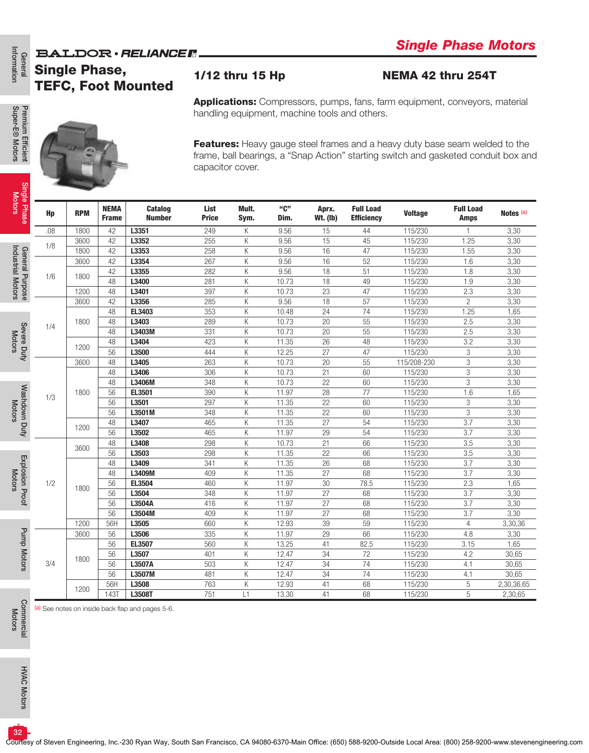## **BALDOR** · RELIANCE F

## Single Phase, TEFC, Foot Mounted

### 1/12 thru 15 Hp NEMA 42 thru 254T

|                                            |                      |            |                             | <b>BALDOR</b> · RELIANCE F.                      |                      |                 |                |                          |                                               |                    |                          | omgro i naso motors<br><b>Applications:</b> Compressors, pumps, fans, farm equipment, conveyors, material<br>Features: Heavy gauge steel frames and a heavy duty base seam welded to the<br>frame, ball bearings, a "Snap Action" starting switch and gasketed conduit box and<br>Notes <sup>(a)</sup><br>3,30<br>3,30<br>3,30<br>3,30<br>3,30<br>3,30<br>3,30<br>3,30<br>1,65<br>3,30<br>3,30<br>3,30<br>3,30<br>3,30<br>3,30<br>3,30<br>1,65<br>3,30<br>3,30<br>3,30<br>3,30<br>3,30<br>3,30<br>3,30<br>3,30<br>1,65 |
|--------------------------------------------|----------------------|------------|-----------------------------|--------------------------------------------------|----------------------|-----------------|----------------|--------------------------|-----------------------------------------------|--------------------|--------------------------|------------------------------------------------------------------------------------------------------------------------------------------------------------------------------------------------------------------------------------------------------------------------------------------------------------------------------------------------------------------------------------------------------------------------------------------------------------------------------------------------------------------------|
| General<br>Information                     | <b>Single Phase,</b> |            |                             | <b>TEFC, Foot Mounted</b>                        |                      | 1/12 thru 15 Hp |                |                          |                                               | NEMA 42 thru 254T  |                          |                                                                                                                                                                                                                                                                                                                                                                                                                                                                                                                        |
|                                            |                      |            |                             |                                                  |                      |                 |                |                          | handling equipment, machine tools and others. |                    |                          |                                                                                                                                                                                                                                                                                                                                                                                                                                                                                                                        |
| Premium Efficient<br>Super-E® Motors       |                      |            |                             |                                                  | capacitor cover.     |                 |                |                          |                                               |                    |                          |                                                                                                                                                                                                                                                                                                                                                                                                                                                                                                                        |
| Single Phase<br>Motors                     | Hp                   | <b>RPM</b> | <b>NEMA</b><br><b>Frame</b> | <b>Catalog</b><br><b>Number</b>                  | List<br><b>Price</b> | Mult.<br>Sym.   | "C"<br>Dim.    | Aprx.<br><b>Wt. (Ib)</b> | <b>Full Load</b><br><b>Efficiency</b>         | <b>Voltage</b>     | <b>Full Load</b><br>Amps |                                                                                                                                                                                                                                                                                                                                                                                                                                                                                                                        |
|                                            | .08                  | 1800       | 42                          | L3351                                            | 249                  | Κ               | 9.56           | 15                       | 44                                            | 115/230            |                          |                                                                                                                                                                                                                                                                                                                                                                                                                                                                                                                        |
|                                            | 1/8                  | 3600       | 42                          | L3352                                            | 255                  | Κ               | 9.56           | 15                       | 45                                            | 115/230            | 1.25                     |                                                                                                                                                                                                                                                                                                                                                                                                                                                                                                                        |
|                                            |                      | 1800       | 42                          | L3353                                            | 258                  | Κ               | 9.56           | 16                       | 47                                            | 115/230            | 1.55                     |                                                                                                                                                                                                                                                                                                                                                                                                                                                                                                                        |
|                                            |                      | 3600       | 42                          | L3354                                            | 267                  | Κ               | 9.56           | 16                       | 52                                            | 115/230            | 1.6                      |                                                                                                                                                                                                                                                                                                                                                                                                                                                                                                                        |
|                                            | 1/6                  | 1800       | 42                          | L3355                                            | 282                  | Κ               | 9.56           | 18                       | 51                                            | 115/230            | 1.8                      |                                                                                                                                                                                                                                                                                                                                                                                                                                                                                                                        |
| General Purpose<br>Industrial Motors       |                      |            | 48                          | L3400                                            | 281                  | Κ               | 10.73          | 18                       | 49                                            | 115/230            | 1.9                      |                                                                                                                                                                                                                                                                                                                                                                                                                                                                                                                        |
|                                            |                      | 1200       | 48                          | L3401                                            | 397                  | Κ               | 10.73          | 23                       | 47                                            | 115/230            | 2.3                      |                                                                                                                                                                                                                                                                                                                                                                                                                                                                                                                        |
|                                            |                      | 3600       | 42                          | L3356                                            | 285                  | К               | 9.56           | 18                       | 57                                            | 115/230            | $\overline{c}$           |                                                                                                                                                                                                                                                                                                                                                                                                                                                                                                                        |
|                                            |                      | 1800       | 48<br>48                    | EL3403<br>L3403                                  | 353<br>289           | Κ<br>Κ          | 10.48<br>10.73 | 24<br>20                 | 74<br>55                                      | 115/230<br>115/230 | 1.25<br>2.5              |                                                                                                                                                                                                                                                                                                                                                                                                                                                                                                                        |
| Severe Duty<br>Motors                      | 1/4                  |            | 48                          | L3403M                                           | 331                  | Κ               | 10.73          | 20                       | 55                                            | 115/230            | 2.5                      |                                                                                                                                                                                                                                                                                                                                                                                                                                                                                                                        |
|                                            |                      |            | 48                          | L3404                                            | 423                  | Κ               | 11.35          | 26                       | 48                                            | 115/230            | 3.2                      |                                                                                                                                                                                                                                                                                                                                                                                                                                                                                                                        |
|                                            |                      | 1200       | 56                          | L3500                                            | 444                  | Κ               | 12.25          | 27                       | 47                                            | 115/230            | 3                        |                                                                                                                                                                                                                                                                                                                                                                                                                                                                                                                        |
|                                            |                      | 3600       | 48                          | L3405                                            | 263                  | Κ               | 10.73          | 20                       | 55                                            | 115/208-230        | 3                        |                                                                                                                                                                                                                                                                                                                                                                                                                                                                                                                        |
|                                            |                      |            | 48                          | L3406                                            | 306                  | Κ               | 10.73          | 21                       | 60                                            | 115/230            | 3                        |                                                                                                                                                                                                                                                                                                                                                                                                                                                                                                                        |
|                                            |                      |            | 48                          | L3406M                                           | 348                  | Κ               | 10.73          | 22                       | 60                                            | 115/230            | 3                        |                                                                                                                                                                                                                                                                                                                                                                                                                                                                                                                        |
|                                            |                      | 1800       | 56                          | EL3501                                           | 390                  | Κ               | 11.97          | 28                       | 77                                            | 115/230            | 1.6                      |                                                                                                                                                                                                                                                                                                                                                                                                                                                                                                                        |
| Washdown Duty<br>Motors                    | 1/3                  |            | 56                          | L3501                                            | 297                  | Κ               | 11.35          | 22                       | 60                                            | 115/230            | 3                        |                                                                                                                                                                                                                                                                                                                                                                                                                                                                                                                        |
|                                            |                      |            | 56                          | L3501M                                           | 348                  | Κ               | 11.35          | 22                       | 60                                            | 115/230            | 3                        |                                                                                                                                                                                                                                                                                                                                                                                                                                                                                                                        |
|                                            |                      | 1200       | 48                          | L3407                                            | 465                  | Κ               | 11.35          | 27                       | 54                                            | 115/230            | 3.7                      |                                                                                                                                                                                                                                                                                                                                                                                                                                                                                                                        |
|                                            |                      |            | 56                          | L3502                                            | 465                  | Κ               | 11.97          | 29                       | 54                                            | 115/230            | 3.7                      |                                                                                                                                                                                                                                                                                                                                                                                                                                                                                                                        |
|                                            |                      | 3600       | 48                          | L3408                                            | 298                  | Κ               | 10.73          | 21                       | 66                                            | 115/230            | 3.5                      |                                                                                                                                                                                                                                                                                                                                                                                                                                                                                                                        |
|                                            |                      |            | 56                          | L3503                                            | 298                  | Κ               | 11.35          | 22                       | 66                                            | 115/230            | 3.5                      |                                                                                                                                                                                                                                                                                                                                                                                                                                                                                                                        |
| Explosion Proof<br>Motors                  |                      |            | 48                          | L3409                                            | 341                  | Κ               | 11.35          | 26                       | 68                                            | 115/230            | 3.7                      |                                                                                                                                                                                                                                                                                                                                                                                                                                                                                                                        |
|                                            | 1/2                  |            | 48                          | L3409M<br>EL3504                                 | 409                  | Κ               | 11.35          | 27                       | 68                                            | 115/230            | 3.7                      |                                                                                                                                                                                                                                                                                                                                                                                                                                                                                                                        |
|                                            |                      | 1800       | 56<br>56                    | L3504                                            | 460<br>348           | Κ<br>Κ          | 11.97<br>11.97 | 30<br>27                 | 78.5<br>68                                    | 115/230<br>115/230 | 2.3<br>3.7               | 3,30                                                                                                                                                                                                                                                                                                                                                                                                                                                                                                                   |
|                                            |                      |            | 56                          | L3504A                                           | 416                  | Κ               | 11.97          | 27                       | 68                                            | 115/230            | 3.7                      | 3,30                                                                                                                                                                                                                                                                                                                                                                                                                                                                                                                   |
|                                            |                      |            | 56                          | L3504M                                           | 409                  | Κ               | 11.97          | 27                       | 68                                            | 115/230            | 3.7                      | 3,30                                                                                                                                                                                                                                                                                                                                                                                                                                                                                                                   |
|                                            |                      | 1200       | 56H                         | L3505                                            | 660                  | Κ               | 12.93          | 39                       | 59                                            | 115/230            | $\overline{4}$           | 3,30,36                                                                                                                                                                                                                                                                                                                                                                                                                                                                                                                |
|                                            |                      | 3600       | 56                          | L3506                                            | 335                  | Κ               | 11.97          | 29                       | 66                                            | 115/230            | 4.8                      | 3,30                                                                                                                                                                                                                                                                                                                                                                                                                                                                                                                   |
|                                            |                      |            | 56                          | EL3507                                           | 560                  | Κ               | 13.25          | 41                       | 82.5                                          | 115/230            | 3.15                     | 1,65                                                                                                                                                                                                                                                                                                                                                                                                                                                                                                                   |
| Pump Motors                                |                      | 1800       | 56                          | L3507                                            | 401                  | Κ               | 12.47          | 34                       | 72                                            | 115/230            | 4.2                      | 30,65                                                                                                                                                                                                                                                                                                                                                                                                                                                                                                                  |
|                                            | 3/4                  |            | 56                          | L3507A                                           | 503                  | Κ               | 12.47          | 34                       | 74                                            | 115/230            | 4.1                      | 30,65                                                                                                                                                                                                                                                                                                                                                                                                                                                                                                                  |
|                                            |                      |            | 56                          | L3507M                                           | 481                  | Κ               | 12.47          | 34                       | 74                                            | 115/230            | 4.1                      | 30,65                                                                                                                                                                                                                                                                                                                                                                                                                                                                                                                  |
|                                            |                      | 1200       | 56H                         | L3508                                            | 763                  | Κ               | 12.93          | 41                       | 68                                            | 115/230            | 5                        | 2,30,36,65                                                                                                                                                                                                                                                                                                                                                                                                                                                                                                             |
|                                            |                      |            | <b>143T</b>                 | L3508T                                           | 751                  | L1              | 13.30          | 41                       | 68                                            | 115/230            | 5                        | 2,30,65                                                                                                                                                                                                                                                                                                                                                                                                                                                                                                                |
| Commercial<br>Motors<br><b>HVAC Motors</b> |                      |            |                             | (a) See notes on inside back flap and pages 5-6. |                      |                 |                |                          |                                               |                    |                          |                                                                                                                                                                                                                                                                                                                                                                                                                                                                                                                        |
| 32 <sup>2</sup>                            |                      |            |                             |                                                  |                      |                 |                |                          |                                               |                    |                          |                                                                                                                                                                                                                                                                                                                                                                                                                                                                                                                        |

Premium Efficient<br>Super-E® Motors Super-E® Motors Premium Efficient

General<br>Information

Single Phase Motors

> Industrial Motors Industrial Motors

Commercial Commercial<br>Motors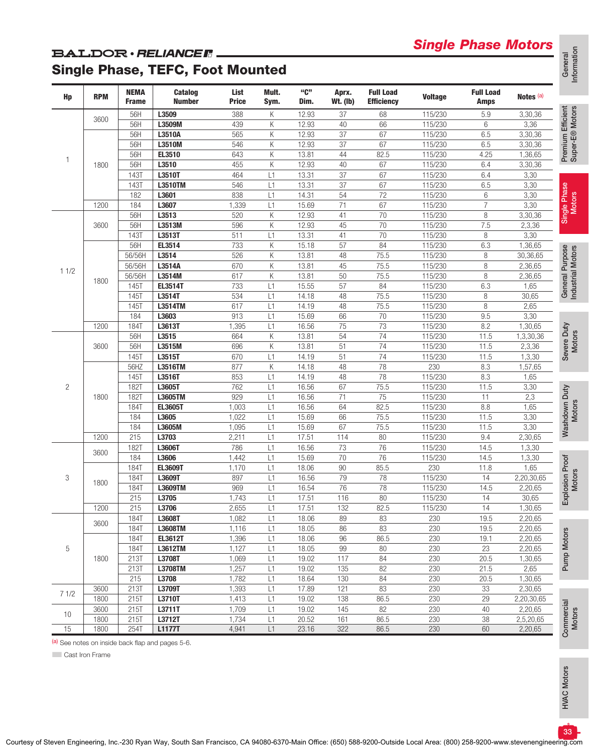## *Single Phase Motors*

### **BALDOR** · RELIANCER

## Single Phase, TEFC, Foot Mounted

| Hp   | <b>RPM</b> | <b>NEMA</b><br><b>Frame</b> | <b>Catalog</b><br><b>Number</b> | List<br><b>Price</b> | Mult.<br>Sym. | "C"<br>Dim. | Aprx.<br>$Wt.$ (lb) | <b>Full Load</b><br><b>Efficiency</b> | <b>Voltage</b> | <b>Full Load</b><br>Amps | Notes (a)  |                                      |
|------|------------|-----------------------------|---------------------------------|----------------------|---------------|-------------|---------------------|---------------------------------------|----------------|--------------------------|------------|--------------------------------------|
|      |            | 56H                         | L3509                           | 388                  | Κ             | 12.93       | 37                  | 68                                    | 115/230        | 5.9                      | 3,30,36    | Premium Efficient<br>Super-E® Motors |
|      | 3600       | 56H                         | L3509M                          | 439                  | Κ             | 12.93       | 40                  | 66                                    | 115/230        | 6                        | 3,36       |                                      |
|      |            | 56H                         | L3510A                          | 565                  | Κ             | 12.93       | 37                  | 67                                    | 115/230        | 6.5                      | 3,30,36    |                                      |
|      |            | 56H                         | L3510M                          | 546                  | Κ             | 12.93       | 37                  | 67                                    | 115/230        | 6.5                      | 3,30,36    |                                      |
|      |            | 56H                         | EL3510                          | 643                  | Κ             | 13.81       | 44                  | 82.5                                  | 115/230        | 4.25                     | 1,36,65    |                                      |
| 1    | 1800       | 56H                         | L3510                           | 455                  | K             | 12.93       | 40                  | 67                                    | 115/230        | 6.4                      | 3,30,36    |                                      |
|      |            | 1431                        | L3510T                          | 464                  | L1            | 13.31       | 37                  | 67                                    | 115/230        | 6.4                      | 3,30       |                                      |
|      |            | 1431                        | L3510TM                         | 546                  | L1            | 13.31       | 37                  | 67                                    | 115/230        | 6.5                      | 3,30       |                                      |
|      |            | 182                         | L3601                           | 838                  | L1            | 14.31       | 54                  | 72                                    | 115/230        | 6                        | 3,30       |                                      |
|      | 1200       | 184                         | L3607                           | 1,339                | L1            | 15.69       | 71                  | 67                                    | 115/230        | $\overline{7}$           | 3,30       |                                      |
|      |            | 56H                         | L3513                           | 520                  | K             | 12.93       | 41                  | 70                                    | 115/230        | 8                        | 3,30,36    | Single Phase<br>Motors               |
|      | 3600       | 56H                         | L3513M                          | 596                  | К             | 12.93       | 45                  | 70                                    | 115/230        | 7.5                      | 2,3,36     |                                      |
|      |            | <b>143T</b>                 | L3513T                          | 511                  | L1            | 13.31       | 41                  | 70                                    | 115/230        | 8                        | 3,30       |                                      |
|      |            | 56H                         | EL3514                          | 733                  | К             | 15.18       | 57                  | 84                                    | 115/230        | 6.3                      | 1,36,65    |                                      |
|      |            | 56/56H                      | L3514                           | 526                  | K             | 13.81       | 48                  | 75.5                                  | 115/230        | 8                        | 30,36,65   | General Purpose<br>Industrial Motors |
|      |            | 56/56H                      | L3514A                          | 670                  | К             | 13.81       | 45                  | 75.5                                  | 115/230        | 8                        | 2,36,65    |                                      |
| 11/2 |            | 56/56H                      | L3514M                          | 617                  | К             | 13.81       | 50                  | 75.5                                  | 115/230        | 8                        | 2,36,65    |                                      |
|      | 1800       | 145T                        | <b>EL3514T</b>                  | 733                  | L1            | 15.55       | 57                  | 84                                    | 115/230        | 6.3                      | 1,65       |                                      |
|      |            | 145T                        | L3514T                          | 534                  | L1            | 14.18       | 48                  | 75.5                                  | 115/230        | 8                        | 30,65      |                                      |
|      |            | <b>145T</b>                 | L3514TM                         | 617                  | L1            | 14.19       | 48                  | 75.5                                  | 115/230        | 8                        | 2,65       |                                      |
|      |            | 184                         | L3603                           | 913                  | L1            | 15.69       | 66                  | 70                                    | 115/230        | 9.5                      | 3,30       |                                      |
|      | 1200       | <b>184T</b>                 | L3613T                          | 1,395                | L1            | 16.56       | 75                  | 73                                    | 115/230        | 8.2                      | 1,30,65    |                                      |
|      |            | 56H                         | L3515                           | 664                  | K             | 13.81       | 54                  | 74                                    | 115/230        | 11.5                     | 1,3,30,36  | Severe Duty<br>Motors                |
|      | 3600       | 56H                         | L3515M                          | 696                  | К             | 13.81       | 51                  | 74                                    | 115/230        | 11.5                     | 2,3,36     |                                      |
|      |            | 145T                        | L3515T                          | 670                  | L1            | 14.19       | 51                  | 74                                    | 115/230        | 11.5                     | 1,3,30     |                                      |
|      |            | 56HZ                        | L3516TM                         | 877                  | K             | 14.18       | 48                  | 78                                    | 230            | 8.3                      | 1,57,65    |                                      |
|      |            | <b>145T</b>                 | L3516T                          | 853                  | L1            | 14.19       | 48                  | 78                                    | 115/230        | 8.3                      | 1,65       |                                      |
| 2    |            | <b>182T</b>                 | L3605T                          | 762                  | L1            | 16.56       | 67                  | 75.5                                  | 115/230        | 11.5                     | 3,30       |                                      |
|      | 1800       | <b>182T</b>                 | L3605TM                         | 929                  | L1            | 16.56       | 71                  | 75                                    | 115/230        | 11                       | 2,3        |                                      |
|      |            | 184T                        | <b>EL3605T</b>                  | 1,003                | L1            | 16.56       | 64                  | 82.5                                  | 115/230        | 8.8                      | 1,65       |                                      |
|      |            | 184                         | L3605                           | 1,022                | L1            | 15.69       | 66                  | 75.5                                  | 115/230        | 11.5                     | 3,30       | Washdown Duty<br>Motors              |
|      |            | 184                         | L3605M                          | 1,095                | L1            | 15.69       | 67                  | 75.5                                  | 115/230        | 11.5                     | 3,30       |                                      |
|      | 1200       | 215                         | L3703                           | 2,211                | L1            | 17.51       | 114                 | 80                                    | 115/230        | 9.4                      | 2,30,65    |                                      |
|      |            | <b>182T</b>                 | L3606T                          | 786                  | L1            | 16.56       | 73                  | 76                                    | 115/230        | 14.5                     | 1,3,30     |                                      |
|      | 3600       | 184                         | L3606                           | 1,442                | L1            | 15.69       | 70                  | 76                                    | 115/230        | 14.5                     | 1,3,30     |                                      |
|      |            | <b>184T</b>                 | EL3609T                         | 1,170                | L1            | 18.06       | 90                  | 85.5                                  | 230            | 11.8                     | 1,65       |                                      |
| 3    |            | <b>184T</b>                 | L3609T                          | 897                  | L1            | 16.56       | 79                  | 78                                    | 115/230        | 14                       | 2,20,30,65 |                                      |
|      | 1800       | <b>184T</b>                 | L3609TM                         | 969                  | L1            | 16.54       | 76                  | 78                                    | 115/230        | 14.5                     | 2,20,65    | Explosion Proof<br>Motors            |
|      |            | 215                         | L3705                           | 1,743                | L1            | 17.51       | 116                 | 80                                    | 115/230        | 14                       | 30,65      |                                      |
|      | 1200       | 215                         | L3706                           | 2,655                | L1            | 17.51       | 132                 | 82.5                                  | 115/230        | 14                       | 1,30,65    |                                      |
|      |            | 184T                        | L3608T                          | 1,082                | L1            | 18.06       | 89                  | 83                                    | 230            | 19.5                     | 2,20,65    |                                      |
|      | 3600       | 184T                        | <b>L3608TM</b>                  | 1,116                | L1            | 18.05       | 86                  | 83                                    | 230            | 19.5                     | 2,20,65    |                                      |
|      |            | 184T                        | <b>EL3612T</b>                  | 1,396                | L1            | 18.06       | 96                  | 86.5                                  | 230            | 19.1                     | 2,20,65    |                                      |
| 5    |            | 184T                        | L3612TM                         | 1,127                | L1            | 18.05       | 99                  | 80                                    | 230            | 23                       | 2,20,65    |                                      |
|      | 1800       | 213T                        | L3708T                          | 1,069                | L1            | 19.02       | 117                 | 84                                    | 230            | 20.5                     | 1,30,65    | Pump Motors                          |
|      |            | 213T                        | L3708TM                         | 1,257                | L1            | 19.02       | 135                 | 82                                    | 230            | 21.5                     | 2,65       |                                      |
|      |            | 215                         | L3708                           | 1,782                | L1            | 18.64       | 130                 | 84                                    | 230            | 20.5                     | 1,30,65    |                                      |
|      | 3600       | 213T                        | L3709T                          | 1,393                | L1            | 17.89       | 121                 | 83                                    | 230            | 33                       | 2,30,65    |                                      |
| 71/2 | 1800       | 215T                        | L3710T                          | 1,413                | L1            | 19.02       | 138                 | 86.5                                  | 230            | 29                       | 2,20,30,65 |                                      |
|      | 3600       | 215T                        | L3711T                          | 1,709                | L1            | 19.02       | 145                 | 82                                    | 230            | 40                       | 2,20,65    |                                      |
| 10   | 1800       | 215T                        | L3712T                          | 1,734                | L1            | 20.52       | 161                 | 86.5                                  | 230            | 38                       | 2,5,20,65  |                                      |
| 15   | 1800       | 254T                        | <b>L1177T</b>                   | 4,941                | L1            | 23.16       | 322                 | 86.5                                  | 230            | 60                       | 2,20,65    | Commercial<br>Motors                 |
|      |            |                             |                                 |                      |               |             |                     |                                       |                |                          |            |                                      |

(a) See notes on inside back flap and pages 5-6.

**Cast Iron Frame** 

**HVAC Motors** HVAC Motors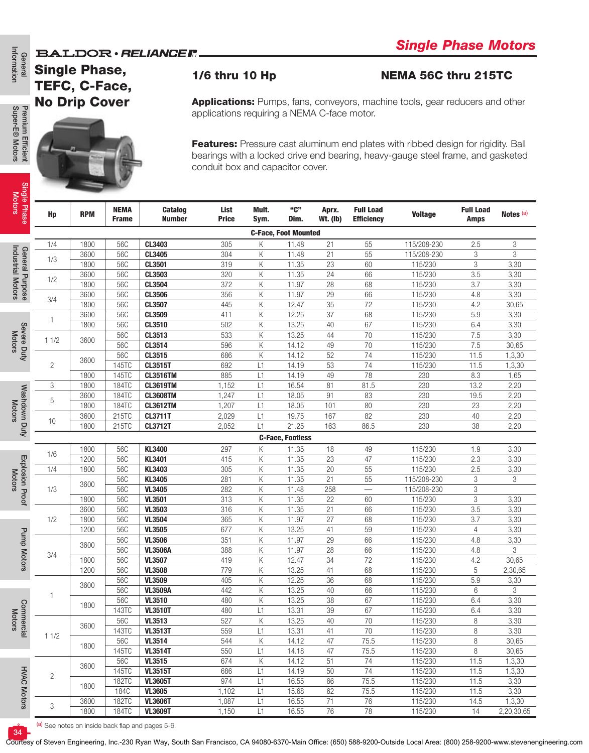### **BALDOR** · RELIANCE F



General<br>Information

Motors

Industrial Motors Industrial Motors

Motors

### 1/6 thru 10 Hp NEMA 56C thru 215TC

|                                      | <b>BALDOR</b> · RELIANCER.<br><b>Single Phase,</b> |                      |                             |                                 |                       |                                                                                                                                                                                                                                                                                                                                                                                                                                                                                                                                                                                                                                                                                                                                                                                                                                                                                                                                                                                                                                                                                                                                                                                                                                                                                                                                                                                                                                                                                                                                                                                                                                                                                                                                                                                                                                                                                                                                                                                                                                                                                                                                                                                                                                                                                                                                                                                                                                                                                                                                                                                                                                                                                                                                                    | omgro i naso motors  |  |  |  |                |  |  |  |
|--------------------------------------|----------------------------------------------------|----------------------|-----------------------------|---------------------------------|-----------------------|----------------------------------------------------------------------------------------------------------------------------------------------------------------------------------------------------------------------------------------------------------------------------------------------------------------------------------------------------------------------------------------------------------------------------------------------------------------------------------------------------------------------------------------------------------------------------------------------------------------------------------------------------------------------------------------------------------------------------------------------------------------------------------------------------------------------------------------------------------------------------------------------------------------------------------------------------------------------------------------------------------------------------------------------------------------------------------------------------------------------------------------------------------------------------------------------------------------------------------------------------------------------------------------------------------------------------------------------------------------------------------------------------------------------------------------------------------------------------------------------------------------------------------------------------------------------------------------------------------------------------------------------------------------------------------------------------------------------------------------------------------------------------------------------------------------------------------------------------------------------------------------------------------------------------------------------------------------------------------------------------------------------------------------------------------------------------------------------------------------------------------------------------------------------------------------------------------------------------------------------------------------------------------------------------------------------------------------------------------------------------------------------------------------------------------------------------------------------------------------------------------------------------------------------------------------------------------------------------------------------------------------------------------------------------------------------------------------------------------------------------|----------------------|--|--|--|----------------|--|--|--|
| General<br>Information               |                                                    | TEFC, C-Face,        |                             |                                 | <b>1/6 thru 10 Hp</b> |                                                                                                                                                                                                                                                                                                                                                                                                                                                                                                                                                                                                                                                                                                                                                                                                                                                                                                                                                                                                                                                                                                                                                                                                                                                                                                                                                                                                                                                                                                                                                                                                                                                                                                                                                                                                                                                                                                                                                                                                                                                                                                                                                                                                                                                                                                                                                                                                                                                                                                                                                                                                                                                                                                                                                    |                      |  |  |  |                |  |  |  |
| Premium Efficient<br>Super-E® Motors |                                                    | <b>No Drip Cover</b> |                             |                                 |                       |                                                                                                                                                                                                                                                                                                                                                                                                                                                                                                                                                                                                                                                                                                                                                                                                                                                                                                                                                                                                                                                                                                                                                                                                                                                                                                                                                                                                                                                                                                                                                                                                                                                                                                                                                                                                                                                                                                                                                                                                                                                                                                                                                                                                                                                                                                                                                                                                                                                                                                                                                                                                                                                                                                                                                    |                      |  |  |  |                |  |  |  |
|                                      |                                                    |                      |                             |                                 |                       |                                                                                                                                                                                                                                                                                                                                                                                                                                                                                                                                                                                                                                                                                                                                                                                                                                                                                                                                                                                                                                                                                                                                                                                                                                                                                                                                                                                                                                                                                                                                                                                                                                                                                                                                                                                                                                                                                                                                                                                                                                                                                                                                                                                                                                                                                                                                                                                                                                                                                                                                                                                                                                                                                                                                                    |                      |  |  |  |                |  |  |  |
| Single Phase<br>Motors               | Hp                                                 | <b>RPM</b>           | <b>NEMA</b><br><b>Frame</b> | <b>Catalog</b><br><b>Number</b> | List<br><b>Price</b>  | NEMA 56C thru 215TC<br><b>Applications:</b> Pumps, fans, conveyors, machine tools, gear reducers and other<br>applications requiring a NEMA C-face motor.<br>Features: Pressure cast aluminum end plates with ribbed design for rigidity. Ball<br>bearings with a locked drive end bearing, heavy-gauge steel frame, and gasketed<br>conduit box and capacitor cover.<br>"ር"<br>Mult.<br><b>Full Load</b><br><b>Full Load</b><br>Aprx.<br><b>Voltage</b><br>Dim.<br><b>Wt. (Ib)</b><br><b>Efficiency</b><br>Sym.<br>Amps<br><b>C-Face, Foot Mounted</b><br>21<br>Κ<br>11.48<br>55<br>115/208-230<br>2.5<br>К<br>21<br>55<br>11.48<br>115/208-230<br>3<br>Κ<br>11.35<br>23<br>60<br>115/230<br>3<br>115/230<br>Κ<br>11.35<br>24<br>66<br>3.5<br>Κ<br>28<br>68<br>3.7<br>11.97<br>115/230<br>29<br>66<br>Κ<br>11.97<br>115/230<br>4.8<br>Κ<br>35<br>72<br>115/230<br>4.2<br>12.47<br>37<br>Κ<br>12.25<br>68<br>115/230<br>5.9<br>Κ<br>13.25<br>40<br>67<br>115/230<br>6.4<br>70<br>Κ<br>13.25<br>44<br>115/230<br>7.5<br>Κ<br>$70\,$<br>115/230<br>7.5<br>14.12<br>49<br>52<br>115/230<br>Κ<br>14.12<br>74<br>11.5<br>53<br>74<br>14.19<br>L1<br>115/230<br>11.5<br>78<br>L1<br>14.19<br>49<br>8.3<br>230<br>81<br>13.2<br>L1<br>16.54<br>81.5<br>230<br>L1<br>18.05<br>91<br>83<br>230<br>19.5<br>101<br>$80\,$<br>L1<br>18.05<br>230<br>23<br>82<br>L1<br>19.75<br>167<br>40<br>230<br>21.25<br>163<br>L1<br>86.5<br>230<br>38<br><b>C-Face, Footless</b><br>18<br>115/230<br>Κ<br>11.35<br>49<br>1.9<br>23<br>115/230<br>Κ<br>11.35<br>47<br>2.3<br>20<br>Κ<br>55<br>2.5<br>11.35<br>115/230<br>$\overline{21}$<br>55<br>Κ<br>11.35<br>115/208-230<br>3<br>3<br>Κ<br>11.48<br>258<br>115/208-230<br>11.35<br>115/230<br>22<br>3<br>Κ<br>60<br>Κ<br>21<br>115/230<br>3.5<br>11.35<br>66<br>Κ<br>11.97<br>27<br>68<br>115/230<br>3.7<br>Κ<br>115/230<br>$\overline{4}$<br>13.25<br>41<br>59<br>115/230<br>Κ<br>11.97<br>29<br>66<br>4.8<br>Κ<br>11.97<br>28<br>66<br>115/230<br>4.8<br>72<br>Κ<br>12.47<br>34<br>115/230<br>4.2<br>Κ<br>5<br>13.25<br>41<br>68<br>115/230<br>12.25<br>68<br>115/230<br>5.9<br>Κ<br>36<br>13.25<br>66<br>115/230<br>Κ<br>40<br>6<br>67<br>Κ<br>13.25<br>38<br>115/230<br>6.4<br>67<br>115/230<br>L1<br>13.31<br>39<br>6.4<br>Κ<br>13.25<br>70<br>115/230<br>8<br>40<br>13.31<br>$70\,$<br>115/230<br>8<br>L1<br>41<br>К<br>14.12<br>47<br>75.5<br>115/230<br>8<br>115/230<br>8<br>L1<br>14.18<br>47<br>75.5<br>115/230<br>Κ<br>14.12<br>51<br>74<br>11.5<br>$74$<br>14.19<br>$50\,$<br>115/230<br>L1<br>11.5<br>16.55<br>66<br>75.5<br>115/230<br>11.5<br>L1<br>115/230<br>L1<br>15.68<br>62<br>75.5<br>11.5<br>115/230<br>16.55<br>71<br>76<br>14.5<br>L1<br>16.55<br>76<br>L1<br>78<br>115/230<br>14<br>2,20,30,65 | Notes <sup>(a)</sup> |  |  |  |                |  |  |  |
|                                      |                                                    |                      |                             |                                 |                       |                                                                                                                                                                                                                                                                                                                                                                                                                                                                                                                                                                                                                                                                                                                                                                                                                                                                                                                                                                                                                                                                                                                                                                                                                                                                                                                                                                                                                                                                                                                                                                                                                                                                                                                                                                                                                                                                                                                                                                                                                                                                                                                                                                                                                                                                                                                                                                                                                                                                                                                                                                                                                                                                                                                                                    |                      |  |  |  |                |  |  |  |
|                                      | 1/4                                                | 1800                 | 56C                         | CL3403                          | 305                   |                                                                                                                                                                                                                                                                                                                                                                                                                                                                                                                                                                                                                                                                                                                                                                                                                                                                                                                                                                                                                                                                                                                                                                                                                                                                                                                                                                                                                                                                                                                                                                                                                                                                                                                                                                                                                                                                                                                                                                                                                                                                                                                                                                                                                                                                                                                                                                                                                                                                                                                                                                                                                                                                                                                                                    |                      |  |  |  | 3              |  |  |  |
| General Purpose<br>Industrial Motors | 1/3                                                | 3600                 | 56C                         | CL3405                          | 304                   |                                                                                                                                                                                                                                                                                                                                                                                                                                                                                                                                                                                                                                                                                                                                                                                                                                                                                                                                                                                                                                                                                                                                                                                                                                                                                                                                                                                                                                                                                                                                                                                                                                                                                                                                                                                                                                                                                                                                                                                                                                                                                                                                                                                                                                                                                                                                                                                                                                                                                                                                                                                                                                                                                                                                                    |                      |  |  |  | 3              |  |  |  |
|                                      |                                                    | 1800                 | 56C                         | CL3501                          | 319                   |                                                                                                                                                                                                                                                                                                                                                                                                                                                                                                                                                                                                                                                                                                                                                                                                                                                                                                                                                                                                                                                                                                                                                                                                                                                                                                                                                                                                                                                                                                                                                                                                                                                                                                                                                                                                                                                                                                                                                                                                                                                                                                                                                                                                                                                                                                                                                                                                                                                                                                                                                                                                                                                                                                                                                    |                      |  |  |  | 3,30           |  |  |  |
|                                      | 1/2                                                | 3600                 | <b>56C</b>                  | CL3503                          | 320                   |                                                                                                                                                                                                                                                                                                                                                                                                                                                                                                                                                                                                                                                                                                                                                                                                                                                                                                                                                                                                                                                                                                                                                                                                                                                                                                                                                                                                                                                                                                                                                                                                                                                                                                                                                                                                                                                                                                                                                                                                                                                                                                                                                                                                                                                                                                                                                                                                                                                                                                                                                                                                                                                                                                                                                    |                      |  |  |  | 3,30           |  |  |  |
|                                      |                                                    | 1800                 | 56C                         | CL3504                          | 372                   |                                                                                                                                                                                                                                                                                                                                                                                                                                                                                                                                                                                                                                                                                                                                                                                                                                                                                                                                                                                                                                                                                                                                                                                                                                                                                                                                                                                                                                                                                                                                                                                                                                                                                                                                                                                                                                                                                                                                                                                                                                                                                                                                                                                                                                                                                                                                                                                                                                                                                                                                                                                                                                                                                                                                                    |                      |  |  |  | 3,30           |  |  |  |
|                                      | 3/4                                                | 3600                 | <b>56C</b><br>56C           | CL3506<br>CL3507                | 356                   |                                                                                                                                                                                                                                                                                                                                                                                                                                                                                                                                                                                                                                                                                                                                                                                                                                                                                                                                                                                                                                                                                                                                                                                                                                                                                                                                                                                                                                                                                                                                                                                                                                                                                                                                                                                                                                                                                                                                                                                                                                                                                                                                                                                                                                                                                                                                                                                                                                                                                                                                                                                                                                                                                                                                                    |                      |  |  |  | 3,30           |  |  |  |
|                                      |                                                    | 1800<br>3600         | 56C                         | CL3509                          | 445<br>411            |                                                                                                                                                                                                                                                                                                                                                                                                                                                                                                                                                                                                                                                                                                                                                                                                                                                                                                                                                                                                                                                                                                                                                                                                                                                                                                                                                                                                                                                                                                                                                                                                                                                                                                                                                                                                                                                                                                                                                                                                                                                                                                                                                                                                                                                                                                                                                                                                                                                                                                                                                                                                                                                                                                                                                    |                      |  |  |  | 30,65<br>3,30  |  |  |  |
|                                      | 1                                                  | 1800                 | 56C                         | CL3510                          | 502                   |                                                                                                                                                                                                                                                                                                                                                                                                                                                                                                                                                                                                                                                                                                                                                                                                                                                                                                                                                                                                                                                                                                                                                                                                                                                                                                                                                                                                                                                                                                                                                                                                                                                                                                                                                                                                                                                                                                                                                                                                                                                                                                                                                                                                                                                                                                                                                                                                                                                                                                                                                                                                                                                                                                                                                    |                      |  |  |  | 3,30           |  |  |  |
| Severe Duty<br>Motors                |                                                    |                      | 56C                         | CL3513                          | 533                   |                                                                                                                                                                                                                                                                                                                                                                                                                                                                                                                                                                                                                                                                                                                                                                                                                                                                                                                                                                                                                                                                                                                                                                                                                                                                                                                                                                                                                                                                                                                                                                                                                                                                                                                                                                                                                                                                                                                                                                                                                                                                                                                                                                                                                                                                                                                                                                                                                                                                                                                                                                                                                                                                                                                                                    |                      |  |  |  | 3,30           |  |  |  |
|                                      | 11/2<br>$\overline{c}$                             | 3600                 | 56C                         | CL3514                          | 596                   |                                                                                                                                                                                                                                                                                                                                                                                                                                                                                                                                                                                                                                                                                                                                                                                                                                                                                                                                                                                                                                                                                                                                                                                                                                                                                                                                                                                                                                                                                                                                                                                                                                                                                                                                                                                                                                                                                                                                                                                                                                                                                                                                                                                                                                                                                                                                                                                                                                                                                                                                                                                                                                                                                                                                                    |                      |  |  |  | 30,65          |  |  |  |
|                                      |                                                    |                      | 56C                         | CL3515                          | 686                   |                                                                                                                                                                                                                                                                                                                                                                                                                                                                                                                                                                                                                                                                                                                                                                                                                                                                                                                                                                                                                                                                                                                                                                                                                                                                                                                                                                                                                                                                                                                                                                                                                                                                                                                                                                                                                                                                                                                                                                                                                                                                                                                                                                                                                                                                                                                                                                                                                                                                                                                                                                                                                                                                                                                                                    |                      |  |  |  | 1,3,30         |  |  |  |
|                                      |                                                    | 3600                 | 145TC                       | CL3515T                         | 692                   |                                                                                                                                                                                                                                                                                                                                                                                                                                                                                                                                                                                                                                                                                                                                                                                                                                                                                                                                                                                                                                                                                                                                                                                                                                                                                                                                                                                                                                                                                                                                                                                                                                                                                                                                                                                                                                                                                                                                                                                                                                                                                                                                                                                                                                                                                                                                                                                                                                                                                                                                                                                                                                                                                                                                                    |                      |  |  |  | 1,3,30         |  |  |  |
|                                      |                                                    | 1800                 | 145TC                       | <b>CL3516TM</b>                 | 885                   |                                                                                                                                                                                                                                                                                                                                                                                                                                                                                                                                                                                                                                                                                                                                                                                                                                                                                                                                                                                                                                                                                                                                                                                                                                                                                                                                                                                                                                                                                                                                                                                                                                                                                                                                                                                                                                                                                                                                                                                                                                                                                                                                                                                                                                                                                                                                                                                                                                                                                                                                                                                                                                                                                                                                                    |                      |  |  |  | 1,65           |  |  |  |
|                                      | 3                                                  | 1800                 | <b>184TC</b>                | <b>CL3619TM</b>                 | 1,152                 |                                                                                                                                                                                                                                                                                                                                                                                                                                                                                                                                                                                                                                                                                                                                                                                                                                                                                                                                                                                                                                                                                                                                                                                                                                                                                                                                                                                                                                                                                                                                                                                                                                                                                                                                                                                                                                                                                                                                                                                                                                                                                                                                                                                                                                                                                                                                                                                                                                                                                                                                                                                                                                                                                                                                                    |                      |  |  |  | 2,20           |  |  |  |
|                                      |                                                    | 3600                 | 184TC                       | <b>CL3608TM</b>                 | 1,247                 |                                                                                                                                                                                                                                                                                                                                                                                                                                                                                                                                                                                                                                                                                                                                                                                                                                                                                                                                                                                                                                                                                                                                                                                                                                                                                                                                                                                                                                                                                                                                                                                                                                                                                                                                                                                                                                                                                                                                                                                                                                                                                                                                                                                                                                                                                                                                                                                                                                                                                                                                                                                                                                                                                                                                                    |                      |  |  |  | 2,20           |  |  |  |
|                                      | 5                                                  | 1800                 | 184TC                       | <b>CL3612TM</b>                 | 1,207                 |                                                                                                                                                                                                                                                                                                                                                                                                                                                                                                                                                                                                                                                                                                                                                                                                                                                                                                                                                                                                                                                                                                                                                                                                                                                                                                                                                                                                                                                                                                                                                                                                                                                                                                                                                                                                                                                                                                                                                                                                                                                                                                                                                                                                                                                                                                                                                                                                                                                                                                                                                                                                                                                                                                                                                    |                      |  |  |  | 2,20           |  |  |  |
|                                      | 10                                                 | 3600                 | 215TC                       | CL3711T                         | 2,029                 |                                                                                                                                                                                                                                                                                                                                                                                                                                                                                                                                                                                                                                                                                                                                                                                                                                                                                                                                                                                                                                                                                                                                                                                                                                                                                                                                                                                                                                                                                                                                                                                                                                                                                                                                                                                                                                                                                                                                                                                                                                                                                                                                                                                                                                                                                                                                                                                                                                                                                                                                                                                                                                                                                                                                                    |                      |  |  |  | 2,20           |  |  |  |
| Washdown Duty                        |                                                    | 1800                 | 215TC                       | <b>CL3712T</b>                  | 2,052                 |                                                                                                                                                                                                                                                                                                                                                                                                                                                                                                                                                                                                                                                                                                                                                                                                                                                                                                                                                                                                                                                                                                                                                                                                                                                                                                                                                                                                                                                                                                                                                                                                                                                                                                                                                                                                                                                                                                                                                                                                                                                                                                                                                                                                                                                                                                                                                                                                                                                                                                                                                                                                                                                                                                                                                    |                      |  |  |  | 2,20           |  |  |  |
|                                      |                                                    |                      |                             |                                 |                       |                                                                                                                                                                                                                                                                                                                                                                                                                                                                                                                                                                                                                                                                                                                                                                                                                                                                                                                                                                                                                                                                                                                                                                                                                                                                                                                                                                                                                                                                                                                                                                                                                                                                                                                                                                                                                                                                                                                                                                                                                                                                                                                                                                                                                                                                                                                                                                                                                                                                                                                                                                                                                                                                                                                                                    |                      |  |  |  |                |  |  |  |
|                                      | 1/6                                                | 1800                 | 56C                         | <b>KL3400</b>                   | 297                   |                                                                                                                                                                                                                                                                                                                                                                                                                                                                                                                                                                                                                                                                                                                                                                                                                                                                                                                                                                                                                                                                                                                                                                                                                                                                                                                                                                                                                                                                                                                                                                                                                                                                                                                                                                                                                                                                                                                                                                                                                                                                                                                                                                                                                                                                                                                                                                                                                                                                                                                                                                                                                                                                                                                                                    |                      |  |  |  | 3,30           |  |  |  |
|                                      |                                                    | 1200                 | 56C                         | KL3401                          | 415                   |                                                                                                                                                                                                                                                                                                                                                                                                                                                                                                                                                                                                                                                                                                                                                                                                                                                                                                                                                                                                                                                                                                                                                                                                                                                                                                                                                                                                                                                                                                                                                                                                                                                                                                                                                                                                                                                                                                                                                                                                                                                                                                                                                                                                                                                                                                                                                                                                                                                                                                                                                                                                                                                                                                                                                    |                      |  |  |  | 3,30           |  |  |  |
| Explosion Proof<br>Motors            | 1/4                                                | 1800                 | 56C<br>56C                  | KL3403<br>KL3405                | 305<br>281            |                                                                                                                                                                                                                                                                                                                                                                                                                                                                                                                                                                                                                                                                                                                                                                                                                                                                                                                                                                                                                                                                                                                                                                                                                                                                                                                                                                                                                                                                                                                                                                                                                                                                                                                                                                                                                                                                                                                                                                                                                                                                                                                                                                                                                                                                                                                                                                                                                                                                                                                                                                                                                                                                                                                                                    |                      |  |  |  | 3,30<br>3      |  |  |  |
|                                      | 1/3                                                | 3600                 | 56C                         | <b>VL3405</b>                   | 282                   |                                                                                                                                                                                                                                                                                                                                                                                                                                                                                                                                                                                                                                                                                                                                                                                                                                                                                                                                                                                                                                                                                                                                                                                                                                                                                                                                                                                                                                                                                                                                                                                                                                                                                                                                                                                                                                                                                                                                                                                                                                                                                                                                                                                                                                                                                                                                                                                                                                                                                                                                                                                                                                                                                                                                                    |                      |  |  |  |                |  |  |  |
|                                      |                                                    | 1800                 | 56C                         | <b>VL3501</b>                   | 313                   |                                                                                                                                                                                                                                                                                                                                                                                                                                                                                                                                                                                                                                                                                                                                                                                                                                                                                                                                                                                                                                                                                                                                                                                                                                                                                                                                                                                                                                                                                                                                                                                                                                                                                                                                                                                                                                                                                                                                                                                                                                                                                                                                                                                                                                                                                                                                                                                                                                                                                                                                                                                                                                                                                                                                                    |                      |  |  |  | 3,30           |  |  |  |
|                                      |                                                    | 3600                 | <b>56C</b>                  | <b>VL3503</b>                   | 316                   |                                                                                                                                                                                                                                                                                                                                                                                                                                                                                                                                                                                                                                                                                                                                                                                                                                                                                                                                                                                                                                                                                                                                                                                                                                                                                                                                                                                                                                                                                                                                                                                                                                                                                                                                                                                                                                                                                                                                                                                                                                                                                                                                                                                                                                                                                                                                                                                                                                                                                                                                                                                                                                                                                                                                                    |                      |  |  |  | 3,30           |  |  |  |
|                                      | 1/2                                                | 1800                 | <b>56C</b>                  | <b>VL3504</b>                   | 365                   |                                                                                                                                                                                                                                                                                                                                                                                                                                                                                                                                                                                                                                                                                                                                                                                                                                                                                                                                                                                                                                                                                                                                                                                                                                                                                                                                                                                                                                                                                                                                                                                                                                                                                                                                                                                                                                                                                                                                                                                                                                                                                                                                                                                                                                                                                                                                                                                                                                                                                                                                                                                                                                                                                                                                                    |                      |  |  |  | 3,30           |  |  |  |
|                                      |                                                    | 1200                 | 56C                         | <b>VL3505</b>                   | 677                   |                                                                                                                                                                                                                                                                                                                                                                                                                                                                                                                                                                                                                                                                                                                                                                                                                                                                                                                                                                                                                                                                                                                                                                                                                                                                                                                                                                                                                                                                                                                                                                                                                                                                                                                                                                                                                                                                                                                                                                                                                                                                                                                                                                                                                                                                                                                                                                                                                                                                                                                                                                                                                                                                                                                                                    |                      |  |  |  | 3,30           |  |  |  |
|                                      |                                                    |                      | 56C                         | <b>VL3506</b>                   | 351                   |                                                                                                                                                                                                                                                                                                                                                                                                                                                                                                                                                                                                                                                                                                                                                                                                                                                                                                                                                                                                                                                                                                                                                                                                                                                                                                                                                                                                                                                                                                                                                                                                                                                                                                                                                                                                                                                                                                                                                                                                                                                                                                                                                                                                                                                                                                                                                                                                                                                                                                                                                                                                                                                                                                                                                    |                      |  |  |  | 3,30           |  |  |  |
| Pump Motors                          |                                                    | 3600                 | <b>56C</b>                  | <b>VL3506A</b>                  | 388                   |                                                                                                                                                                                                                                                                                                                                                                                                                                                                                                                                                                                                                                                                                                                                                                                                                                                                                                                                                                                                                                                                                                                                                                                                                                                                                                                                                                                                                                                                                                                                                                                                                                                                                                                                                                                                                                                                                                                                                                                                                                                                                                                                                                                                                                                                                                                                                                                                                                                                                                                                                                                                                                                                                                                                                    |                      |  |  |  | 3              |  |  |  |
|                                      | 3/4                                                | 1800                 | 56C                         | <b>VL3507</b>                   | 419                   |                                                                                                                                                                                                                                                                                                                                                                                                                                                                                                                                                                                                                                                                                                                                                                                                                                                                                                                                                                                                                                                                                                                                                                                                                                                                                                                                                                                                                                                                                                                                                                                                                                                                                                                                                                                                                                                                                                                                                                                                                                                                                                                                                                                                                                                                                                                                                                                                                                                                                                                                                                                                                                                                                                                                                    |                      |  |  |  | 30,65          |  |  |  |
|                                      |                                                    | 1200                 | 56C                         | <b>VL3508</b>                   | 779                   |                                                                                                                                                                                                                                                                                                                                                                                                                                                                                                                                                                                                                                                                                                                                                                                                                                                                                                                                                                                                                                                                                                                                                                                                                                                                                                                                                                                                                                                                                                                                                                                                                                                                                                                                                                                                                                                                                                                                                                                                                                                                                                                                                                                                                                                                                                                                                                                                                                                                                                                                                                                                                                                                                                                                                    |                      |  |  |  | 2,30,65        |  |  |  |
|                                      |                                                    | 3600                 | 56C                         | <b>VL3509</b>                   | 405                   |                                                                                                                                                                                                                                                                                                                                                                                                                                                                                                                                                                                                                                                                                                                                                                                                                                                                                                                                                                                                                                                                                                                                                                                                                                                                                                                                                                                                                                                                                                                                                                                                                                                                                                                                                                                                                                                                                                                                                                                                                                                                                                                                                                                                                                                                                                                                                                                                                                                                                                                                                                                                                                                                                                                                                    |                      |  |  |  | 3,30           |  |  |  |
|                                      | 1                                                  |                      | 56C                         | <b>VL3509A</b>                  | 442                   |                                                                                                                                                                                                                                                                                                                                                                                                                                                                                                                                                                                                                                                                                                                                                                                                                                                                                                                                                                                                                                                                                                                                                                                                                                                                                                                                                                                                                                                                                                                                                                                                                                                                                                                                                                                                                                                                                                                                                                                                                                                                                                                                                                                                                                                                                                                                                                                                                                                                                                                                                                                                                                                                                                                                                    |                      |  |  |  | 3              |  |  |  |
| Commercial<br>Motors                 |                                                    | 1800                 | 56C                         | <b>VL3510</b>                   | 480                   |                                                                                                                                                                                                                                                                                                                                                                                                                                                                                                                                                                                                                                                                                                                                                                                                                                                                                                                                                                                                                                                                                                                                                                                                                                                                                                                                                                                                                                                                                                                                                                                                                                                                                                                                                                                                                                                                                                                                                                                                                                                                                                                                                                                                                                                                                                                                                                                                                                                                                                                                                                                                                                                                                                                                                    |                      |  |  |  | 3,30           |  |  |  |
|                                      |                                                    |                      | 143TC                       | <b>VL3510T</b>                  | 480                   |                                                                                                                                                                                                                                                                                                                                                                                                                                                                                                                                                                                                                                                                                                                                                                                                                                                                                                                                                                                                                                                                                                                                                                                                                                                                                                                                                                                                                                                                                                                                                                                                                                                                                                                                                                                                                                                                                                                                                                                                                                                                                                                                                                                                                                                                                                                                                                                                                                                                                                                                                                                                                                                                                                                                                    |                      |  |  |  | 3,30           |  |  |  |
|                                      |                                                    | 3600                 | 56C                         | <b>VL3513</b>                   | 527                   |                                                                                                                                                                                                                                                                                                                                                                                                                                                                                                                                                                                                                                                                                                                                                                                                                                                                                                                                                                                                                                                                                                                                                                                                                                                                                                                                                                                                                                                                                                                                                                                                                                                                                                                                                                                                                                                                                                                                                                                                                                                                                                                                                                                                                                                                                                                                                                                                                                                                                                                                                                                                                                                                                                                                                    |                      |  |  |  | 3,30           |  |  |  |
|                                      | 11/2                                               |                      | 143TC<br><b>56C</b>         | <b>VL3513T</b><br><b>VL3514</b> | 559<br>544            |                                                                                                                                                                                                                                                                                                                                                                                                                                                                                                                                                                                                                                                                                                                                                                                                                                                                                                                                                                                                                                                                                                                                                                                                                                                                                                                                                                                                                                                                                                                                                                                                                                                                                                                                                                                                                                                                                                                                                                                                                                                                                                                                                                                                                                                                                                                                                                                                                                                                                                                                                                                                                                                                                                                                                    |                      |  |  |  | 3,30<br>30,65  |  |  |  |
|                                      |                                                    | 1800                 | 145TC                       | <b>VL3514T</b>                  | 550                   |                                                                                                                                                                                                                                                                                                                                                                                                                                                                                                                                                                                                                                                                                                                                                                                                                                                                                                                                                                                                                                                                                                                                                                                                                                                                                                                                                                                                                                                                                                                                                                                                                                                                                                                                                                                                                                                                                                                                                                                                                                                                                                                                                                                                                                                                                                                                                                                                                                                                                                                                                                                                                                                                                                                                                    |                      |  |  |  | 30,65          |  |  |  |
|                                      |                                                    |                      | 56C                         | <b>VL3515</b>                   | 674                   |                                                                                                                                                                                                                                                                                                                                                                                                                                                                                                                                                                                                                                                                                                                                                                                                                                                                                                                                                                                                                                                                                                                                                                                                                                                                                                                                                                                                                                                                                                                                                                                                                                                                                                                                                                                                                                                                                                                                                                                                                                                                                                                                                                                                                                                                                                                                                                                                                                                                                                                                                                                                                                                                                                                                                    |                      |  |  |  | 1,3,30         |  |  |  |
|                                      |                                                    | 3600                 | 145TC                       | <b>VL3515T</b>                  | 686                   |                                                                                                                                                                                                                                                                                                                                                                                                                                                                                                                                                                                                                                                                                                                                                                                                                                                                                                                                                                                                                                                                                                                                                                                                                                                                                                                                                                                                                                                                                                                                                                                                                                                                                                                                                                                                                                                                                                                                                                                                                                                                                                                                                                                                                                                                                                                                                                                                                                                                                                                                                                                                                                                                                                                                                    |                      |  |  |  | 1,3,30         |  |  |  |
|                                      |                                                    |                      | <b>182TC</b>                | <b>VL3605T</b>                  | 974                   |                                                                                                                                                                                                                                                                                                                                                                                                                                                                                                                                                                                                                                                                                                                                                                                                                                                                                                                                                                                                                                                                                                                                                                                                                                                                                                                                                                                                                                                                                                                                                                                                                                                                                                                                                                                                                                                                                                                                                                                                                                                                                                                                                                                                                                                                                                                                                                                                                                                                                                                                                                                                                                                                                                                                                    |                      |  |  |  | 3,30           |  |  |  |
|                                      | $\overline{c}$                                     |                      |                             |                                 |                       |                                                                                                                                                                                                                                                                                                                                                                                                                                                                                                                                                                                                                                                                                                                                                                                                                                                                                                                                                                                                                                                                                                                                                                                                                                                                                                                                                                                                                                                                                                                                                                                                                                                                                                                                                                                                                                                                                                                                                                                                                                                                                                                                                                                                                                                                                                                                                                                                                                                                                                                                                                                                                                                                                                                                                    |                      |  |  |  |                |  |  |  |
|                                      |                                                    | 1800                 |                             |                                 |                       |                                                                                                                                                                                                                                                                                                                                                                                                                                                                                                                                                                                                                                                                                                                                                                                                                                                                                                                                                                                                                                                                                                                                                                                                                                                                                                                                                                                                                                                                                                                                                                                                                                                                                                                                                                                                                                                                                                                                                                                                                                                                                                                                                                                                                                                                                                                                                                                                                                                                                                                                                                                                                                                                                                                                                    |                      |  |  |  |                |  |  |  |
| <b>HVAC Motors</b>                   | 3                                                  | 3600                 | <b>184C</b><br>182TC        | <b>VL3605</b><br><b>VL3606T</b> | 1,102<br>1,087        |                                                                                                                                                                                                                                                                                                                                                                                                                                                                                                                                                                                                                                                                                                                                                                                                                                                                                                                                                                                                                                                                                                                                                                                                                                                                                                                                                                                                                                                                                                                                                                                                                                                                                                                                                                                                                                                                                                                                                                                                                                                                                                                                                                                                                                                                                                                                                                                                                                                                                                                                                                                                                                                                                                                                                    |                      |  |  |  | 3,30<br>1,3,30 |  |  |  |

 $34$ 

Courtesy of Steven Engineering, Inc.-230 Ryan Way, South San Francisco, CA 94080-6370-Main Office: (650) 588-9200-Outside Local Area: (800) 258-9200-www.stevenengineering.com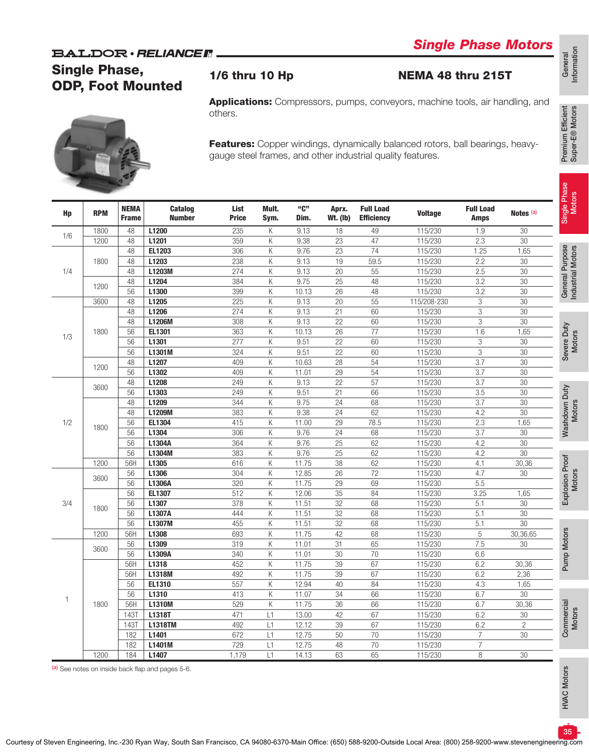# Single Phase, ODP, Foot Mounted

# *Single Phase Motors*

### 1/6 thru 10 Hp NEMA 48 thru 215T

Applications: Compressors, pumps, conveyors, machine tools, air handling, and others.



Features: Copper windings, dynamically balanced rotors, ball bearings, heavygauge steel frames, and other industrial quality features.

| Hp          | <b>RPM</b> | <b>NEMA</b><br><b>Frame</b> | <b>Catalog</b><br><b>Number</b> | List<br><b>Price</b> | Mult.<br>Sym.           | "C"<br>Dim.     | Aprx.<br><b>Wt. (Ib)</b> | <b>Full Load</b><br><b>Efficiency</b> | <b>Voltage</b>   | <b>Full Load</b><br><b>Amps</b> | Notes <sup>(a)</sup> |
|-------------|------------|-----------------------------|---------------------------------|----------------------|-------------------------|-----------------|--------------------------|---------------------------------------|------------------|---------------------------------|----------------------|
| 1/6         | 1800       | 48                          | L1200                           | 235                  | Κ                       | 9.13            | 18                       | 49                                    | 115/230          | 1.9                             | 30                   |
|             | 1200       | 48                          | L1201                           | 359                  | $\overline{\mathsf{K}}$ | 9.38            | $\overline{23}$          | 47                                    | 115/230          | 2.3                             | $\overline{30}$      |
|             |            | 48                          | EL1203                          | 306                  | K                       | 9.76            | $\overline{23}$          | $\overline{74}$                       | 115/230          | 1.25                            | 1,65                 |
| 1800<br>1/4 | 48         | L1203                       | 238                             | Κ                    | 9.13                    | 19              | 59.5                     | 115/230                               | 2.2              | $\overline{30}$                 |                      |
|             |            | 48                          | L1203M                          | 274                  | Κ                       | 9.13            | $\overline{20}$          | $\overline{55}$                       | 115/230          | 2.5                             | $\overline{30}$      |
|             | 1200       | 48                          | L1204                           | 384                  | Κ                       | 9.75            | 25                       | 48                                    | 115/230          | 3.2                             | $\overline{30}$      |
|             |            | 56                          | L1300                           | 399                  | Κ                       | 10.13           | 26                       | 48                                    | 115/230          | 3.2                             | 30                   |
|             | 3600       | 48                          | L1205                           | 225                  | Κ                       | 9.13            | $\overline{20}$          | $\overline{55}$                       | 115/208-230      | $\overline{3}$                  | $\overline{30}$      |
|             |            | 48                          | L1206                           | 274                  | K                       | 9.13            | $\overline{21}$          | 60                                    | 115/230          | 3                               | $\overline{30}$      |
|             |            | 48                          | L1206M                          | 308                  | K                       | 9.13            | $\overline{22}$          | 60                                    | 115/230          | 3                               | $\overline{30}$      |
|             | 1800       | 56                          | EL1301                          | 363                  | Κ                       | 10.13           | $\overline{26}$          | $\overline{77}$                       | 115/230          | 1.6                             | 1,65                 |
| 1/3         | 56         | L1301                       | 277                             | Κ                    | 9.51                    | $\overline{22}$ | 60                       | 115/230                               | $\overline{3}$   | $\overline{30}$                 |                      |
|             | 56         | L1301M                      | 324                             | Κ                    | 9.51                    | 22              | 60                       | 115/230                               | $\mathfrak 3$    | $\overline{30}$                 |                      |
|             |            | 48                          | L1207                           | 409                  | Κ                       | 10.63           | 28                       | 54                                    | 115/230          | 3.7                             | 30                   |
|             | 1200       | 56                          | L1302                           | 409                  | K                       | 11.01           | $\overline{29}$          | 54                                    | 115/230          | $\overline{3.7}$                | $\overline{30}$      |
| 3600<br>1/2 |            | 48                          | L1208                           | 249                  | K                       | 9.13            | $\overline{22}$          | $\overline{57}$                       | 115/230          | $\overline{3.7}$                | $\overline{30}$      |
|             | 56         | L1303                       | 249                             | K                    | 9.51                    | $\overline{21}$ | 66                       | 115/230                               | $\overline{3.5}$ | $\overline{30}$                 |                      |
|             |            | 48                          | L1209                           | 344                  | Κ                       | 9.75            | $\overline{24}$          | 68                                    | 115/230          | $\overline{3.7}$                | $\overline{30}$      |
|             |            | 48                          | L1209M                          | 383                  | Κ                       | 9.38            | $\overline{24}$          | 62                                    | 115/230          | 4.2                             | $\overline{30}$      |
|             |            | 56                          | EL1304                          | 415                  | Κ                       | 11.00           | 29                       | 78.5                                  | 115/230          | 2.3                             | 1,65                 |
|             | 1800       | 56                          | L1304                           | 306                  | Κ                       | 9.76            | 24                       | 68                                    | 115/230          | 3.7                             | 30                   |
|             |            | 56                          | L1304A                          | 364                  | K                       | 9.76            | $\overline{25}$          | 62                                    | 115/230          | 4.2                             | $\overline{30}$      |
|             |            | 56                          | L1304M                          | 383                  | K                       | 9.76            | $\overline{25}$          | 62                                    | 115/230          | 4.2                             | $\overline{30}$      |
|             | 1200       | 56H                         | L1305                           | 616                  | Κ                       | 11.75           | $\overline{38}$          | 62                                    | 115/230          | 4.1                             | 30,36                |
|             |            | 56                          | L1306                           | 304                  | Κ                       | 12.85           | $\overline{26}$          | $\overline{72}$                       | 115/230          | 4.7                             | $\overline{30}$      |
|             | 3600       | 56                          | L1306A                          | 320                  | Κ                       | 11.75           | $\overline{29}$          | 69                                    | 115/230          | 5.5                             |                      |
|             |            | 56                          | EL1307                          | 512                  | Κ                       | 12.06           | $\overline{35}$          | 84                                    | 115/230          | 3.25                            | 1,65                 |
| 3/4         |            | 56                          | L1307                           | 378                  | Κ                       | 11.51           | $\overline{32}$          | 68                                    | 115/230          | 5.1                             | $\overline{30}$      |
|             | 1800       | 56                          | L1307A                          | 444                  | K                       | 11.51           | $\overline{32}$          | 68                                    | 115/230          | 5.1                             | $\overline{30}$      |
|             |            | 56                          | L1307M                          | 455                  | Κ                       | 11.51           | $\overline{32}$          | 68                                    | 115/230          | 5.1                             | $\overline{30}$      |
|             | 1200       | 56H                         | L1308                           | 693                  | Κ                       | 11.75           | 42                       | 68                                    | 115/230          | $\sqrt{5}$                      | 30,36,65             |
|             |            | 56                          | L1309                           | 319                  | Κ                       | 11.01           | $\overline{31}$          | 65                                    | 115/230          | 7.5                             | $\overline{30}$      |
|             | 3600       | 56                          | L1309A                          | 340                  | Κ                       | 11.01           | $\overline{30}$          | $\overline{70}$                       | 115/230          | 6.6                             |                      |
|             |            | 56H                         | L1318                           | 452                  | Κ                       | 11.75           | $\overline{39}$          | 67                                    | 115/230          | 6.2                             | 30,36                |
|             |            | 56H                         | L1318M                          | 492                  | Κ                       | 11.75           | $\overline{39}$          | 67                                    | 115/230          | 6.2                             | 2,36                 |
|             |            | 56                          | EL1310                          | 557                  | K                       | 12.94           | 40                       | 84                                    | 115/230          | 4.3                             | 1,65                 |
|             |            | 56                          | L1310                           | 413                  | K                       | 11.07           | $\overline{34}$          | 66                                    | 115/230          | 6.7                             | 30                   |
| 1           | 1800       |                             | <b>L1310M</b>                   | 529                  | K                       | 11.75           | $\overline{36}$          | 66                                    | 115/230          |                                 | 30,36                |
|             |            | 56H                         |                                 |                      |                         | 13.00           | 42                       | 67                                    |                  | 6.7                             |                      |
|             |            | 1431                        | L1318T                          | 471                  | L1                      |                 |                          |                                       | 115/230          | 6.2                             | 30                   |
|             |            | <b>143T</b>                 | <b>L1318TM</b>                  | 492                  | L1                      | 12.12           | $\overline{39}$          | 67                                    | 115/230          | 6.2                             | $\overline{2}$       |
|             |            | 182                         | L1401                           | 672                  | L1                      | 12.75           | 50                       | $\overline{70}$                       | 115/230          | $\overline{7}$                  | $\overline{30}$      |
|             |            | 182                         | L1401M                          | 729                  | L1                      | 12.75           | $\overline{48}$          | $\overline{70}$                       | 115/230          | $\overline{7}$                  |                      |
|             | 1200       | 184                         | L1407                           | 1,179                | L1                      | 14.13           | 63                       | 65                                    | 115/230          | 8                               | 30                   |

(a) See notes on inside back flap and pages 5-6.

HVAC Motors

**HVAC Motors** 

Premium Efficient Super-E® Motors

Premium Efficient<br>Super-E® Motors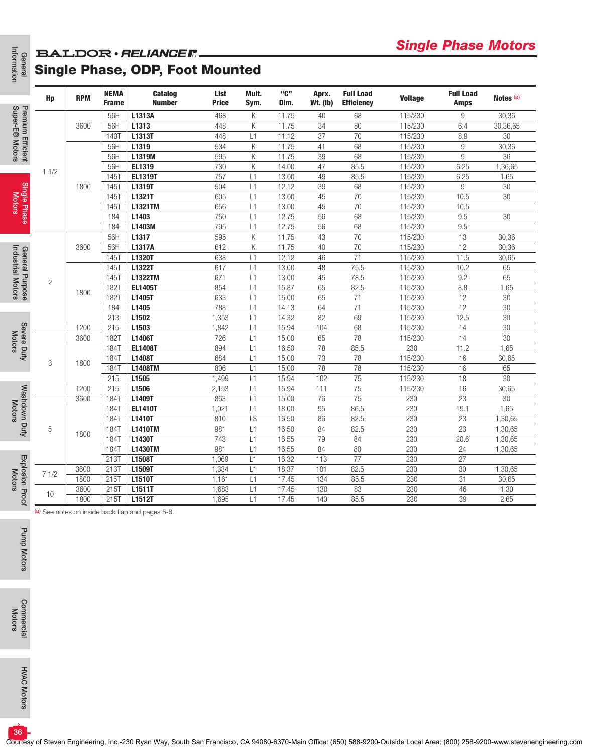## General<br>Information **BALDOR** · RELIANCER. Single Phase, ODP, Foot Mounted

| General<br>Information               |                                                                                                                                                                                                                                                           |            |                                                                                                                                                                                                                                                                                                                                                                                                                                                                                                                                                                                                                                                                                                                                                                                                                                                                                                                                                                                                                                                                                                                                                                                                                                                                                                                                                                                                                                                                                                                                                                                                                                                                                                                                                                                                                                                                                                                                                                                                                                                                                                                                                                                                                                                                                                                                                                                                                                                                                                                                                                                                                                                                                                                                                                             |                                 |                      |       |                |                          |                                       |                |                                 |                      |
|--------------------------------------|-----------------------------------------------------------------------------------------------------------------------------------------------------------------------------------------------------------------------------------------------------------|------------|-----------------------------------------------------------------------------------------------------------------------------------------------------------------------------------------------------------------------------------------------------------------------------------------------------------------------------------------------------------------------------------------------------------------------------------------------------------------------------------------------------------------------------------------------------------------------------------------------------------------------------------------------------------------------------------------------------------------------------------------------------------------------------------------------------------------------------------------------------------------------------------------------------------------------------------------------------------------------------------------------------------------------------------------------------------------------------------------------------------------------------------------------------------------------------------------------------------------------------------------------------------------------------------------------------------------------------------------------------------------------------------------------------------------------------------------------------------------------------------------------------------------------------------------------------------------------------------------------------------------------------------------------------------------------------------------------------------------------------------------------------------------------------------------------------------------------------------------------------------------------------------------------------------------------------------------------------------------------------------------------------------------------------------------------------------------------------------------------------------------------------------------------------------------------------------------------------------------------------------------------------------------------------------------------------------------------------------------------------------------------------------------------------------------------------------------------------------------------------------------------------------------------------------------------------------------------------------------------------------------------------------------------------------------------------------------------------------------------------------------------------------------------------|---------------------------------|----------------------|-------|----------------|--------------------------|---------------------------------------|----------------|---------------------------------|----------------------|
|                                      |                                                                                                                                                                                                                                                           | <b>RPM</b> | <b>NEMA</b><br><b>Frame</b>                                                                                                                                                                                                                                                                                                                                                                                                                                                                                                                                                                                                                                                                                                                                                                                                                                                                                                                                                                                                                                                                                                                                                                                                                                                                                                                                                                                                                                                                                                                                                                                                                                                                                                                                                                                                                                                                                                                                                                                                                                                                                                                                                                                                                                                                                                                                                                                                                                                                                                                                                                                                                                                                                                                                                 | <b>Catalog</b><br><b>Number</b> | List<br><b>Price</b> | Mult. | "C"<br>Dim.    | Aprx.<br><b>Wt. (Ib)</b> | <b>Full Load</b><br><b>Efficiency</b> | <b>Voltage</b> | <b>Full Load</b><br><b>Amps</b> | Notes <sup>(a)</sup> |
| Premium Efficient<br>Super-E® Motors |                                                                                                                                                                                                                                                           |            | 56H                                                                                                                                                                                                                                                                                                                                                                                                                                                                                                                                                                                                                                                                                                                                                                                                                                                                                                                                                                                                                                                                                                                                                                                                                                                                                                                                                                                                                                                                                                                                                                                                                                                                                                                                                                                                                                                                                                                                                                                                                                                                                                                                                                                                                                                                                                                                                                                                                                                                                                                                                                                                                                                                                                                                                                         | L1313A                          | 468                  |       |                | 40                       | 68                                    |                | 9                               | 30,36                |
|                                      |                                                                                                                                                                                                                                                           | 3600       | 56H                                                                                                                                                                                                                                                                                                                                                                                                                                                                                                                                                                                                                                                                                                                                                                                                                                                                                                                                                                                                                                                                                                                                                                                                                                                                                                                                                                                                                                                                                                                                                                                                                                                                                                                                                                                                                                                                                                                                                                                                                                                                                                                                                                                                                                                                                                                                                                                                                                                                                                                                                                                                                                                                                                                                                                         | L1313                           | 448                  | Κ     | 11.75          | 34                       | 80                                    | 115/230        | 6.4                             | 30,36,65             |
|                                      |                                                                                                                                                                                                                                                           |            | 1431                                                                                                                                                                                                                                                                                                                                                                                                                                                                                                                                                                                                                                                                                                                                                                                                                                                                                                                                                                                                                                                                                                                                                                                                                                                                                                                                                                                                                                                                                                                                                                                                                                                                                                                                                                                                                                                                                                                                                                                                                                                                                                                                                                                                                                                                                                                                                                                                                                                                                                                                                                                                                                                                                                                                                                        | L1313T                          | 448                  | L1    | 11.12          | 37                       | 70                                    | 115/230        | 8.9                             | 30                   |
|                                      |                                                                                                                                                                                                                                                           |            | 56H                                                                                                                                                                                                                                                                                                                                                                                                                                                                                                                                                                                                                                                                                                                                                                                                                                                                                                                                                                                                                                                                                                                                                                                                                                                                                                                                                                                                                                                                                                                                                                                                                                                                                                                                                                                                                                                                                                                                                                                                                                                                                                                                                                                                                                                                                                                                                                                                                                                                                                                                                                                                                                                                                                                                                                         |                                 |                      | Κ     |                |                          | 68                                    |                |                                 | 30,36                |
|                                      |                                                                                                                                                                                                                                                           |            | onigic i nasc motors<br>Sym.<br>115/230<br>Κ<br>11.75<br>534<br>11.75<br>$9\,$<br>L1319<br>41<br>115/230<br>11.75<br>68<br>9<br>595<br>Κ<br>39<br>115/230<br>56H<br>L1319M<br>730<br>Κ<br>14.00<br>47<br>85.5<br>115/230<br>6.25<br>56H<br>EL1319<br>757<br>85.5<br>115/230<br>145T<br><b>EL1319T</b><br>13.00<br>49<br>6.25<br>L1<br>12.12<br>1451<br>504<br>39<br>68<br>115/230<br>$9\,$<br>L1319T<br>L1<br>70<br>605<br>13.00<br>45<br>115/230<br>10.5<br>145T<br>L1321T<br>L1<br>13.00<br>70<br>115/230<br>10.5<br>145T<br><b>L1321TM</b><br>656<br>L1<br>45<br>12.75<br>115/230<br>184<br>L1403<br>750<br>56<br>68<br>9.5<br>L1<br>184<br>795<br>12.75<br>L1403M<br>L1<br>56<br>68<br>115/230<br>9.5<br>11.75<br>70<br>595<br>Κ<br>43<br>115/230<br>13<br>56H<br>L1317<br>12<br>L1317A<br>612<br>Κ<br>11.75<br>70<br>115/230<br>56H<br>40<br>12.12<br>71<br>115/230<br>1451<br>L1320T<br>638<br>46<br>11.5<br>L1<br>1451<br>617<br>13.00<br>75.5<br>115/230<br>10.2<br>L1322T<br>L1<br>48<br>671<br>13.00<br>45<br>78.5<br>115/230<br>9.2<br><b>145T</b><br><b>L1322TM</b><br>L1<br>854<br>15.87<br>82.5<br>115/230<br>1821<br><b>EL1405T</b><br>L1<br>65<br>8.8<br>633<br>115/230<br><b>182T</b><br>L1405T<br>15.00<br>71<br>12<br>L1<br>65<br>12<br>788<br>14.13<br>64<br>71<br>115/230<br>184<br>L1405<br>L1<br>213<br>L1502<br>1,353<br>14.32<br>82<br>115/230<br>12.5<br>L1<br>69<br>215<br>L1503<br>15.94<br>68<br>115/230<br>14<br>1,842<br>L1<br>104<br>78<br>115/230<br>1821<br>L1406T<br>726<br>15.00<br>65<br>14<br>L1<br>16.50<br>78<br>85.5<br>230<br><b>184T</b><br><b>EL1408T</b><br>894<br>L1<br>11.2<br>73<br>78<br>115/230<br>684<br>15.00<br>16<br><b>184T</b><br>L1408T<br>L1<br>78<br>806<br>15.00<br>78<br>115/230<br>1841<br><b>L1408TM</b><br>L1<br>16<br>115/230<br>215<br>L1505<br>1,499<br>15.94<br>102<br>75<br>18<br>L1<br>75<br>215<br>2,153<br>15.94<br>115/230<br>L1506<br>L1<br>111<br>16<br>75<br>863<br>15.00<br>76<br>23<br>184T<br>L1409T<br>L1<br>230<br>86.5<br>230<br>19.1<br><b>184T</b><br><b>EL1410T</b><br>1,021<br>L1<br>18.00<br>95<br>23<br><b>184T</b><br>L1410T<br>810<br>LS<br>16.50<br>86<br>82.5<br>230<br>16.50<br>230<br>23<br><b>184T</b><br><b>L1410TM</b><br>981<br>L1<br>84<br>82.5<br>16.55<br>79<br>743<br>84<br>230<br>20.6<br>184T<br>L1430T<br>L1<br>981<br>16.55<br>84<br>230<br>24<br><b>184T</b><br><b>L1430TM</b><br>L1<br>80<br>213T<br>16.32<br>77<br>L1508T<br>1,069<br>113<br>230<br>27<br>L1<br>18.37<br>82.5<br>230<br>30<br>213T<br>L1509T<br>1,334<br>L1<br>101<br>85.5<br>230<br>$\overline{31}$<br>215T   L1510T<br>1,161<br>17.45<br>L1<br>134<br>83<br>215T<br>L1511T<br>1,683<br>L1<br>17.45<br>130<br>230<br>46<br>215T<br>L1512T<br>85.5<br>39<br>1,695<br>L1<br>17.45<br>140<br>230 |                                 | 36                   |       |                |                          |                                       |                |                                 |                      |
|                                      | 11/2<br>$\overline{c}$<br>3                                                                                                                                                                                                                               |            |                                                                                                                                                                                                                                                                                                                                                                                                                                                                                                                                                                                                                                                                                                                                                                                                                                                                                                                                                                                                                                                                                                                                                                                                                                                                                                                                                                                                                                                                                                                                                                                                                                                                                                                                                                                                                                                                                                                                                                                                                                                                                                                                                                                                                                                                                                                                                                                                                                                                                                                                                                                                                                                                                                                                                                             |                                 |                      |       |                |                          |                                       |                |                                 | 1,36,65<br>1,65      |
|                                      |                                                                                                                                                                                                                                                           |            |                                                                                                                                                                                                                                                                                                                                                                                                                                                                                                                                                                                                                                                                                                                                                                                                                                                                                                                                                                                                                                                                                                                                                                                                                                                                                                                                                                                                                                                                                                                                                                                                                                                                                                                                                                                                                                                                                                                                                                                                                                                                                                                                                                                                                                                                                                                                                                                                                                                                                                                                                                                                                                                                                                                                                                             |                                 |                      |       |                |                          |                                       |                |                                 | 30                   |
|                                      |                                                                                                                                                                                                                                                           |            |                                                                                                                                                                                                                                                                                                                                                                                                                                                                                                                                                                                                                                                                                                                                                                                                                                                                                                                                                                                                                                                                                                                                                                                                                                                                                                                                                                                                                                                                                                                                                                                                                                                                                                                                                                                                                                                                                                                                                                                                                                                                                                                                                                                                                                                                                                                                                                                                                                                                                                                                                                                                                                                                                                                                                                             |                                 |                      |       |                |                          |                                       |                |                                 | 30                   |
| Single Phase<br>Motors               |                                                                                                                                                                                                                                                           |            |                                                                                                                                                                                                                                                                                                                                                                                                                                                                                                                                                                                                                                                                                                                                                                                                                                                                                                                                                                                                                                                                                                                                                                                                                                                                                                                                                                                                                                                                                                                                                                                                                                                                                                                                                                                                                                                                                                                                                                                                                                                                                                                                                                                                                                                                                                                                                                                                                                                                                                                                                                                                                                                                                                                                                                             |                                 |                      |       |                |                          |                                       |                |                                 |                      |
|                                      |                                                                                                                                                                                                                                                           |            |                                                                                                                                                                                                                                                                                                                                                                                                                                                                                                                                                                                                                                                                                                                                                                                                                                                                                                                                                                                                                                                                                                                                                                                                                                                                                                                                                                                                                                                                                                                                                                                                                                                                                                                                                                                                                                                                                                                                                                                                                                                                                                                                                                                                                                                                                                                                                                                                                                                                                                                                                                                                                                                                                                                                                                             |                                 |                      |       |                |                          |                                       |                |                                 | 30                   |
|                                      |                                                                                                                                                                                                                                                           |            |                                                                                                                                                                                                                                                                                                                                                                                                                                                                                                                                                                                                                                                                                                                                                                                                                                                                                                                                                                                                                                                                                                                                                                                                                                                                                                                                                                                                                                                                                                                                                                                                                                                                                                                                                                                                                                                                                                                                                                                                                                                                                                                                                                                                                                                                                                                                                                                                                                                                                                                                                                                                                                                                                                                                                                             |                                 |                      |       |                |                          |                                       |                |                                 |                      |
|                                      | <b>BALDOR · RELIANCE F</b><br><b>Single Phase, ODP, Foot Mounted</b><br>Hp<br>1800<br>3600<br>1800<br>1200<br>3600<br>1800<br>1200<br>3600<br>5<br>1800<br>3600<br>71/2<br>1800<br>3600<br>10<br>1800<br>(a) See notes on inside back flap and pages 5-6. |            |                                                                                                                                                                                                                                                                                                                                                                                                                                                                                                                                                                                                                                                                                                                                                                                                                                                                                                                                                                                                                                                                                                                                                                                                                                                                                                                                                                                                                                                                                                                                                                                                                                                                                                                                                                                                                                                                                                                                                                                                                                                                                                                                                                                                                                                                                                                                                                                                                                                                                                                                                                                                                                                                                                                                                                             |                                 |                      |       | 30,36<br>30,36 |                          |                                       |                |                                 |                      |
| General Purpose<br>Industrial Motors |                                                                                                                                                                                                                                                           |            |                                                                                                                                                                                                                                                                                                                                                                                                                                                                                                                                                                                                                                                                                                                                                                                                                                                                                                                                                                                                                                                                                                                                                                                                                                                                                                                                                                                                                                                                                                                                                                                                                                                                                                                                                                                                                                                                                                                                                                                                                                                                                                                                                                                                                                                                                                                                                                                                                                                                                                                                                                                                                                                                                                                                                                             |                                 |                      |       |                |                          |                                       |                |                                 | 30,65                |
|                                      |                                                                                                                                                                                                                                                           |            |                                                                                                                                                                                                                                                                                                                                                                                                                                                                                                                                                                                                                                                                                                                                                                                                                                                                                                                                                                                                                                                                                                                                                                                                                                                                                                                                                                                                                                                                                                                                                                                                                                                                                                                                                                                                                                                                                                                                                                                                                                                                                                                                                                                                                                                                                                                                                                                                                                                                                                                                                                                                                                                                                                                                                                             |                                 |                      |       |                |                          |                                       |                |                                 | 65                   |
|                                      |                                                                                                                                                                                                                                                           |            |                                                                                                                                                                                                                                                                                                                                                                                                                                                                                                                                                                                                                                                                                                                                                                                                                                                                                                                                                                                                                                                                                                                                                                                                                                                                                                                                                                                                                                                                                                                                                                                                                                                                                                                                                                                                                                                                                                                                                                                                                                                                                                                                                                                                                                                                                                                                                                                                                                                                                                                                                                                                                                                                                                                                                                             |                                 |                      |       |                |                          |                                       |                |                                 | 65                   |
|                                      |                                                                                                                                                                                                                                                           |            |                                                                                                                                                                                                                                                                                                                                                                                                                                                                                                                                                                                                                                                                                                                                                                                                                                                                                                                                                                                                                                                                                                                                                                                                                                                                                                                                                                                                                                                                                                                                                                                                                                                                                                                                                                                                                                                                                                                                                                                                                                                                                                                                                                                                                                                                                                                                                                                                                                                                                                                                                                                                                                                                                                                                                                             |                                 |                      |       |                |                          |                                       |                |                                 | 1,65                 |
|                                      |                                                                                                                                                                                                                                                           |            |                                                                                                                                                                                                                                                                                                                                                                                                                                                                                                                                                                                                                                                                                                                                                                                                                                                                                                                                                                                                                                                                                                                                                                                                                                                                                                                                                                                                                                                                                                                                                                                                                                                                                                                                                                                                                                                                                                                                                                                                                                                                                                                                                                                                                                                                                                                                                                                                                                                                                                                                                                                                                                                                                                                                                                             |                                 |                      |       |                |                          |                                       |                |                                 | 30                   |
|                                      |                                                                                                                                                                                                                                                           |            |                                                                                                                                                                                                                                                                                                                                                                                                                                                                                                                                                                                                                                                                                                                                                                                                                                                                                                                                                                                                                                                                                                                                                                                                                                                                                                                                                                                                                                                                                                                                                                                                                                                                                                                                                                                                                                                                                                                                                                                                                                                                                                                                                                                                                                                                                                                                                                                                                                                                                                                                                                                                                                                                                                                                                                             |                                 |                      |       |                |                          |                                       |                |                                 | 30                   |
|                                      |                                                                                                                                                                                                                                                           |            |                                                                                                                                                                                                                                                                                                                                                                                                                                                                                                                                                                                                                                                                                                                                                                                                                                                                                                                                                                                                                                                                                                                                                                                                                                                                                                                                                                                                                                                                                                                                                                                                                                                                                                                                                                                                                                                                                                                                                                                                                                                                                                                                                                                                                                                                                                                                                                                                                                                                                                                                                                                                                                                                                                                                                                             |                                 |                      |       |                |                          |                                       |                |                                 | 30                   |
| Severe Duty                          |                                                                                                                                                                                                                                                           |            |                                                                                                                                                                                                                                                                                                                                                                                                                                                                                                                                                                                                                                                                                                                                                                                                                                                                                                                                                                                                                                                                                                                                                                                                                                                                                                                                                                                                                                                                                                                                                                                                                                                                                                                                                                                                                                                                                                                                                                                                                                                                                                                                                                                                                                                                                                                                                                                                                                                                                                                                                                                                                                                                                                                                                                             |                                 |                      |       |                |                          |                                       |                |                                 | 30<br>30             |
| <b>Motors</b>                        |                                                                                                                                                                                                                                                           |            |                                                                                                                                                                                                                                                                                                                                                                                                                                                                                                                                                                                                                                                                                                                                                                                                                                                                                                                                                                                                                                                                                                                                                                                                                                                                                                                                                                                                                                                                                                                                                                                                                                                                                                                                                                                                                                                                                                                                                                                                                                                                                                                                                                                                                                                                                                                                                                                                                                                                                                                                                                                                                                                                                                                                                                             |                                 |                      |       |                |                          |                                       |                |                                 | 1,65                 |
|                                      |                                                                                                                                                                                                                                                           |            |                                                                                                                                                                                                                                                                                                                                                                                                                                                                                                                                                                                                                                                                                                                                                                                                                                                                                                                                                                                                                                                                                                                                                                                                                                                                                                                                                                                                                                                                                                                                                                                                                                                                                                                                                                                                                                                                                                                                                                                                                                                                                                                                                                                                                                                                                                                                                                                                                                                                                                                                                                                                                                                                                                                                                                             |                                 |                      |       |                |                          |                                       |                |                                 | 30,65                |
|                                      |                                                                                                                                                                                                                                                           |            |                                                                                                                                                                                                                                                                                                                                                                                                                                                                                                                                                                                                                                                                                                                                                                                                                                                                                                                                                                                                                                                                                                                                                                                                                                                                                                                                                                                                                                                                                                                                                                                                                                                                                                                                                                                                                                                                                                                                                                                                                                                                                                                                                                                                                                                                                                                                                                                                                                                                                                                                                                                                                                                                                                                                                                             |                                 |                      |       |                |                          |                                       |                |                                 | 65                   |
|                                      |                                                                                                                                                                                                                                                           |            |                                                                                                                                                                                                                                                                                                                                                                                                                                                                                                                                                                                                                                                                                                                                                                                                                                                                                                                                                                                                                                                                                                                                                                                                                                                                                                                                                                                                                                                                                                                                                                                                                                                                                                                                                                                                                                                                                                                                                                                                                                                                                                                                                                                                                                                                                                                                                                                                                                                                                                                                                                                                                                                                                                                                                                             |                                 |                      |       |                | 30                       |                                       |                |                                 |                      |
| Washdown Duty                        |                                                                                                                                                                                                                                                           |            |                                                                                                                                                                                                                                                                                                                                                                                                                                                                                                                                                                                                                                                                                                                                                                                                                                                                                                                                                                                                                                                                                                                                                                                                                                                                                                                                                                                                                                                                                                                                                                                                                                                                                                                                                                                                                                                                                                                                                                                                                                                                                                                                                                                                                                                                                                                                                                                                                                                                                                                                                                                                                                                                                                                                                                             |                                 |                      |       |                |                          |                                       |                |                                 | 30,65                |
|                                      |                                                                                                                                                                                                                                                           |            |                                                                                                                                                                                                                                                                                                                                                                                                                                                                                                                                                                                                                                                                                                                                                                                                                                                                                                                                                                                                                                                                                                                                                                                                                                                                                                                                                                                                                                                                                                                                                                                                                                                                                                                                                                                                                                                                                                                                                                                                                                                                                                                                                                                                                                                                                                                                                                                                                                                                                                                                                                                                                                                                                                                                                                             |                                 |                      |       |                |                          |                                       |                |                                 | 30                   |
|                                      |                                                                                                                                                                                                                                                           |            |                                                                                                                                                                                                                                                                                                                                                                                                                                                                                                                                                                                                                                                                                                                                                                                                                                                                                                                                                                                                                                                                                                                                                                                                                                                                                                                                                                                                                                                                                                                                                                                                                                                                                                                                                                                                                                                                                                                                                                                                                                                                                                                                                                                                                                                                                                                                                                                                                                                                                                                                                                                                                                                                                                                                                                             |                                 |                      |       |                |                          |                                       |                |                                 | 1,65<br>1,30,65      |
|                                      |                                                                                                                                                                                                                                                           |            |                                                                                                                                                                                                                                                                                                                                                                                                                                                                                                                                                                                                                                                                                                                                                                                                                                                                                                                                                                                                                                                                                                                                                                                                                                                                                                                                                                                                                                                                                                                                                                                                                                                                                                                                                                                                                                                                                                                                                                                                                                                                                                                                                                                                                                                                                                                                                                                                                                                                                                                                                                                                                                                                                                                                                                             |                                 |                      |       |                |                          |                                       |                |                                 | 1,30,65              |
|                                      |                                                                                                                                                                                                                                                           |            |                                                                                                                                                                                                                                                                                                                                                                                                                                                                                                                                                                                                                                                                                                                                                                                                                                                                                                                                                                                                                                                                                                                                                                                                                                                                                                                                                                                                                                                                                                                                                                                                                                                                                                                                                                                                                                                                                                                                                                                                                                                                                                                                                                                                                                                                                                                                                                                                                                                                                                                                                                                                                                                                                                                                                                             |                                 |                      |       |                |                          |                                       |                |                                 | 1,30,65              |
|                                      |                                                                                                                                                                                                                                                           |            |                                                                                                                                                                                                                                                                                                                                                                                                                                                                                                                                                                                                                                                                                                                                                                                                                                                                                                                                                                                                                                                                                                                                                                                                                                                                                                                                                                                                                                                                                                                                                                                                                                                                                                                                                                                                                                                                                                                                                                                                                                                                                                                                                                                                                                                                                                                                                                                                                                                                                                                                                                                                                                                                                                                                                                             |                                 |                      |       |                |                          |                                       |                |                                 | 1,30,65              |
| Explosion Proof<br>Motors            |                                                                                                                                                                                                                                                           |            |                                                                                                                                                                                                                                                                                                                                                                                                                                                                                                                                                                                                                                                                                                                                                                                                                                                                                                                                                                                                                                                                                                                                                                                                                                                                                                                                                                                                                                                                                                                                                                                                                                                                                                                                                                                                                                                                                                                                                                                                                                                                                                                                                                                                                                                                                                                                                                                                                                                                                                                                                                                                                                                                                                                                                                             |                                 |                      |       |                |                          |                                       |                |                                 |                      |
|                                      |                                                                                                                                                                                                                                                           |            |                                                                                                                                                                                                                                                                                                                                                                                                                                                                                                                                                                                                                                                                                                                                                                                                                                                                                                                                                                                                                                                                                                                                                                                                                                                                                                                                                                                                                                                                                                                                                                                                                                                                                                                                                                                                                                                                                                                                                                                                                                                                                                                                                                                                                                                                                                                                                                                                                                                                                                                                                                                                                                                                                                                                                                             |                                 |                      |       |                |                          |                                       |                |                                 | 1,30,65              |
|                                      |                                                                                                                                                                                                                                                           |            |                                                                                                                                                                                                                                                                                                                                                                                                                                                                                                                                                                                                                                                                                                                                                                                                                                                                                                                                                                                                                                                                                                                                                                                                                                                                                                                                                                                                                                                                                                                                                                                                                                                                                                                                                                                                                                                                                                                                                                                                                                                                                                                                                                                                                                                                                                                                                                                                                                                                                                                                                                                                                                                                                                                                                                             |                                 |                      |       |                |                          |                                       |                |                                 | 30,65<br>1,30        |
|                                      |                                                                                                                                                                                                                                                           |            |                                                                                                                                                                                                                                                                                                                                                                                                                                                                                                                                                                                                                                                                                                                                                                                                                                                                                                                                                                                                                                                                                                                                                                                                                                                                                                                                                                                                                                                                                                                                                                                                                                                                                                                                                                                                                                                                                                                                                                                                                                                                                                                                                                                                                                                                                                                                                                                                                                                                                                                                                                                                                                                                                                                                                                             |                                 |                      |       |                |                          |                                       |                |                                 | 2,65                 |
|                                      |                                                                                                                                                                                                                                                           |            |                                                                                                                                                                                                                                                                                                                                                                                                                                                                                                                                                                                                                                                                                                                                                                                                                                                                                                                                                                                                                                                                                                                                                                                                                                                                                                                                                                                                                                                                                                                                                                                                                                                                                                                                                                                                                                                                                                                                                                                                                                                                                                                                                                                                                                                                                                                                                                                                                                                                                                                                                                                                                                                                                                                                                                             |                                 |                      |       |                |                          |                                       |                |                                 |                      |
| Pump Motors                          |                                                                                                                                                                                                                                                           |            |                                                                                                                                                                                                                                                                                                                                                                                                                                                                                                                                                                                                                                                                                                                                                                                                                                                                                                                                                                                                                                                                                                                                                                                                                                                                                                                                                                                                                                                                                                                                                                                                                                                                                                                                                                                                                                                                                                                                                                                                                                                                                                                                                                                                                                                                                                                                                                                                                                                                                                                                                                                                                                                                                                                                                                             |                                 |                      |       |                |                          |                                       |                |                                 |                      |
| Commercial<br>Motors                 |                                                                                                                                                                                                                                                           |            |                                                                                                                                                                                                                                                                                                                                                                                                                                                                                                                                                                                                                                                                                                                                                                                                                                                                                                                                                                                                                                                                                                                                                                                                                                                                                                                                                                                                                                                                                                                                                                                                                                                                                                                                                                                                                                                                                                                                                                                                                                                                                                                                                                                                                                                                                                                                                                                                                                                                                                                                                                                                                                                                                                                                                                             |                                 |                      |       |                |                          |                                       |                |                                 |                      |
| <b>HVAC Motors</b>                   |                                                                                                                                                                                                                                                           |            |                                                                                                                                                                                                                                                                                                                                                                                                                                                                                                                                                                                                                                                                                                                                                                                                                                                                                                                                                                                                                                                                                                                                                                                                                                                                                                                                                                                                                                                                                                                                                                                                                                                                                                                                                                                                                                                                                                                                                                                                                                                                                                                                                                                                                                                                                                                                                                                                                                                                                                                                                                                                                                                                                                                                                                             |                                 |                      |       |                |                          |                                       |                |                                 |                      |
| 36                                   |                                                                                                                                                                                                                                                           |            |                                                                                                                                                                                                                                                                                                                                                                                                                                                                                                                                                                                                                                                                                                                                                                                                                                                                                                                                                                                                                                                                                                                                                                                                                                                                                                                                                                                                                                                                                                                                                                                                                                                                                                                                                                                                                                                                                                                                                                                                                                                                                                                                                                                                                                                                                                                                                                                                                                                                                                                                                                                                                                                                                                                                                                             |                                 |                      |       |                |                          |                                       |                |                                 |                      |

Motors

**C**IONO